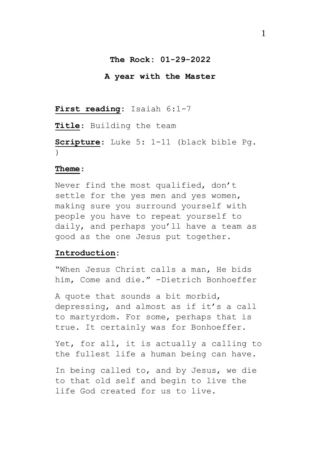## **The Rock: 01-29-2022**

### **A year with the Master**

# **First reading:** Isaiah 6:1-7

**Title**: Building the team

**Scripture**: Luke 5: 1-11 (black bible Pg. )

### **Theme**:

Never find the most qualified, don't settle for the yes men and yes women, making sure you surround yourself with people you have to repeat yourself to daily, and perhaps you'll have a team as good as the one Jesus put together.

### **Introduction:**

"When Jesus Christ calls a man, He bids him, Come and die." -Dietrich Bonhoeffer

A quote that sounds a bit morbid, depressing, and almost as if it's a call to martyrdom. For some, perhaps that is true. It certainly was for Bonhoeffer.

Yet, for all, it is actually a calling to the fullest life a human being can have.

In being called to, and by Jesus, we die to that old self and begin to live the life God created for us to live.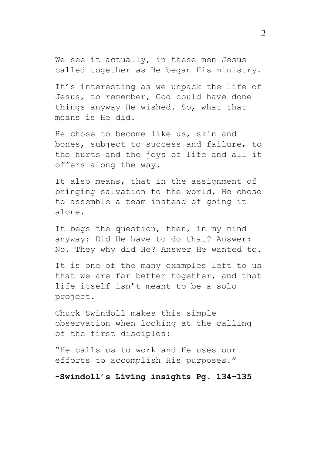We see it actually, in these men Jesus called together as He began His ministry.

It's interesting as we unpack the life of Jesus, to remember, God could have done things anyway He wished. So, what that means is He did.

He chose to become like us, skin and bones, subject to success and failure, to the hurts and the joys of life and all it offers along the way.

It also means, that in the assignment of bringing salvation to the world, He chose to assemble a team instead of going it alone.

It begs the question, then, in my mind anyway: Did He have to do that? Answer: No. They why did He? Answer He wanted to.

It is one of the many examples left to us that we are far better together, and that life itself isn't meant to be a solo project.

Chuck Swindoll makes this simple observation when looking at the calling of the first disciples:

"He calls us to work and He uses our efforts to accomplish His purposes."

**-Swindoll's Living insights Pg. 134-135**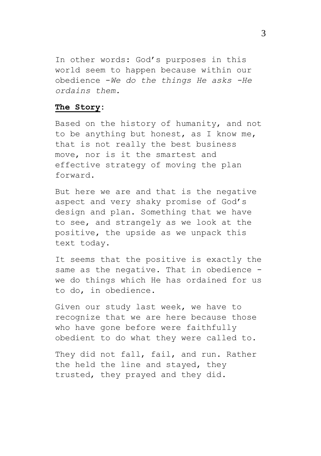In other words: God's purposes in this world seem to happen because within our obedience -*We do the things He asks -He ordains them.*

## **The Story:**

Based on the history of humanity, and not to be anything but honest, as I know me, that is not really the best business move, nor is it the smartest and effective strategy of moving the plan forward.

But here we are and that is the negative aspect and very shaky promise of God's design and plan. Something that we have to see, and strangely as we look at the positive, the upside as we unpack this text today.

It seems that the positive is exactly the same as the negative. That in obedience we do things which He has ordained for us to do, in obedience.

Given our study last week, we have to recognize that we are here because those who have gone before were faithfully obedient to do what they were called to.

They did not fall, fail, and run. Rather the held the line and stayed, they trusted, they prayed and they did.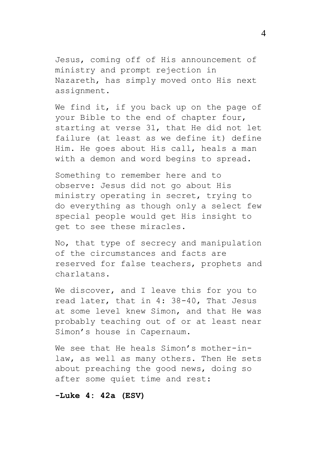Jesus, coming off of His announcement of ministry and prompt rejection in Nazareth, has simply moved onto His next assignment.

We find it, if you back up on the page of your Bible to the end of chapter four, starting at verse 31, that He did not let failure (at least as we define it) define Him. He goes about His call, heals a man with a demon and word begins to spread.

Something to remember here and to observe: Jesus did not go about His ministry operating in secret, trying to do everything as though only a select few special people would get His insight to get to see these miracles.

No, that type of secrecy and manipulation of the circumstances and facts are reserved for false teachers, prophets and charlatans.

We discover, and I leave this for you to read later, that in 4: 38-40, That Jesus at some level knew Simon, and that He was probably teaching out of or at least near Simon's house in Capernaum.

We see that He heals Simon's mother-inlaw, as well as many others. Then He sets about preaching the good news, doing so after some quiet time and rest:

**-Luke 4: 42a (ESV)**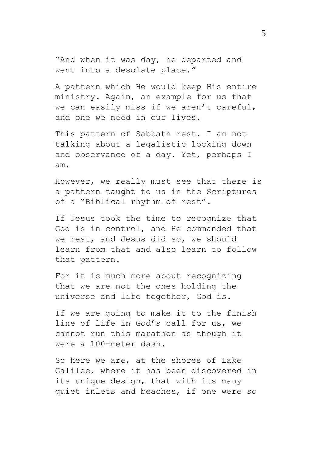"And when it was day, he departed and went into a desolate place."

A pattern which He would keep His entire ministry. Again, an example for us that we can easily miss if we aren't careful, and one we need in our lives.

This pattern of Sabbath rest. I am not talking about a legalistic locking down and observance of a day. Yet, perhaps I am.

However, we really must see that there is a pattern taught to us in the Scriptures of a "Biblical rhythm of rest".

If Jesus took the time to recognize that God is in control, and He commanded that we rest, and Jesus did so, we should learn from that and also learn to follow that pattern.

For it is much more about recognizing that we are not the ones holding the universe and life together, God is.

If we are going to make it to the finish line of life in God's call for us, we cannot run this marathon as though it were a 100-meter dash.

So here we are, at the shores of Lake Galilee, where it has been discovered in its unique design, that with its many quiet inlets and beaches, if one were so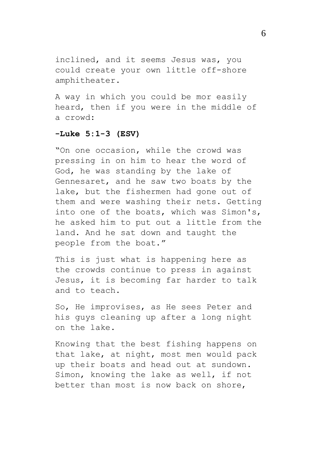inclined, and it seems Jesus was, you could create your own little off-shore amphitheater.

A way in which you could be mor easily heard, then if you were in the middle of a crowd:

## **-Luke 5:1-3 (ESV)**

"On one occasion, while the crowd was pressing in on him to hear the word of God, he was standing by the lake of Gennesaret, and he saw two boats by the lake, but the fishermen had gone out of them and were washing their nets. Getting into one of the boats, which was Simon's, he asked him to put out a little from the land. And he sat down and taught the people from the boat."

This is just what is happening here as the crowds continue to press in against Jesus, it is becoming far harder to talk and to teach.

So, He improvises, as He sees Peter and his guys cleaning up after a long night on the lake.

Knowing that the best fishing happens on that lake, at night, most men would pack up their boats and head out at sundown. Simon, knowing the lake as well, if not better than most is now back on shore,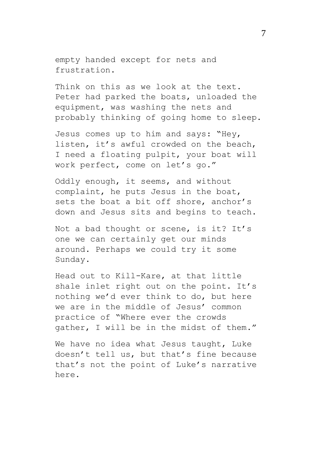empty handed except for nets and frustration.

Think on this as we look at the text. Peter had parked the boats, unloaded the equipment, was washing the nets and probably thinking of going home to sleep.

Jesus comes up to him and says: "Hey, listen, it's awful crowded on the beach, I need a floating pulpit, your boat will work perfect, come on let's go."

Oddly enough, it seems, and without complaint, he puts Jesus in the boat, sets the boat a bit off shore, anchor's down and Jesus sits and begins to teach.

Not a bad thought or scene, is it? It's one we can certainly get our minds around. Perhaps we could try it some Sunday.

Head out to Kill-Kare, at that little shale inlet right out on the point. It's nothing we'd ever think to do, but here we are in the middle of Jesus' common practice of "Where ever the crowds gather, I will be in the midst of them."

We have no idea what Jesus taught, Luke doesn't tell us, but that's fine because that's not the point of Luke's narrative here.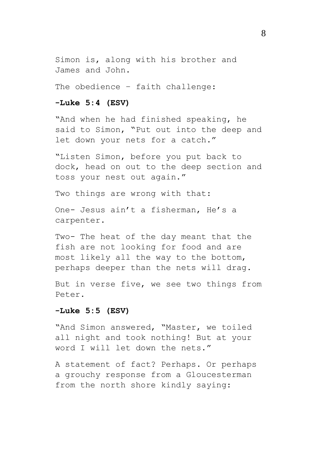Simon is, along with his brother and James and John.

The obedience – faith challenge:

# **-Luke 5:4 (ESV)**

"And when he had finished speaking, he said to Simon, "Put out into the deep and let down your nets for a catch."

"Listen Simon, before you put back to dock, head on out to the deep section and toss your nest out again."

Two things are wrong with that:

One- Jesus ain't a fisherman, He's a carpenter.

Two- The heat of the day meant that the fish are not looking for food and are most likely all the way to the bottom, perhaps deeper than the nets will drag.

But in verse five, we see two things from Peter.

## **-Luke 5:5 (ESV)**

"And Simon answered, "Master, we toiled all night and took nothing! But at your word I will let down the nets."

A statement of fact? Perhaps. Or perhaps a grouchy response from a Gloucesterman from the north shore kindly saying: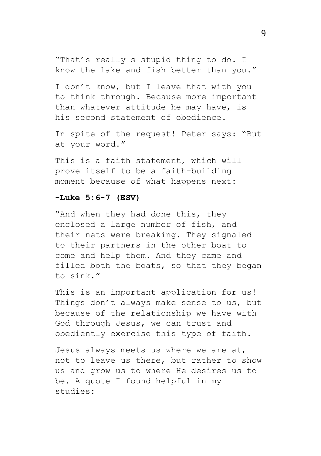"That's really s stupid thing to do. I know the lake and fish better than you."

I don't know, but I leave that with you to think through. Because more important than whatever attitude he may have, is his second statement of obedience.

In spite of the request! Peter says: "But at your word."

This is a faith statement, which will prove itself to be a faith-building moment because of what happens next:

#### **-Luke 5:6-7 (ESV)**

"And when they had done this, they enclosed a large number of fish, and their nets were breaking. They signaled to their partners in the other boat to come and help them. And they came and filled both the boats, so that they began to sink."

This is an important application for us! Things don't always make sense to us, but because of the relationship we have with God through Jesus, we can trust and obediently exercise this type of faith.

Jesus always meets us where we are at, not to leave us there, but rather to show us and grow us to where He desires us to be. A quote I found helpful in my studies: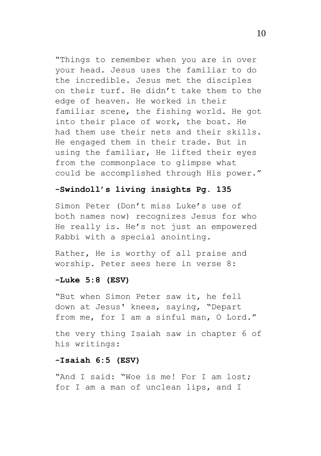"Things to remember when you are in over your head. Jesus uses the familiar to do the incredible. Jesus met the disciples on their turf. He didn't take them to the edge of heaven. He worked in their familiar scene, the fishing world. He got into their place of work, the boat. He had them use their nets and their skills. He engaged them in their trade. But in using the familiar, He lifted their eyes from the commonplace to glimpse what could be accomplished through His power."

## **-Swindoll's living insights Pg. 135**

Simon Peter (Don't miss Luke's use of both names now) recognizes Jesus for who He really is. He's not just an empowered Rabbi with a special anointing.

Rather, He is worthy of all praise and worship. Peter sees here in verse 8:

#### **-Luke 5:8 (ESV)**

"But when Simon Peter saw it, he fell down at Jesus' knees, saying, "Depart from me, for I am a sinful man, O Lord."

the very thing Isaiah saw in chapter 6 of his writings:

## **-Isaiah 6:5 (ESV)**

"And I said: "Woe is me! For I am lost; for I am a man of unclean lips, and I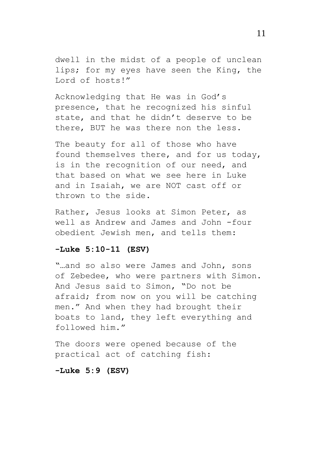dwell in the midst of a people of unclean lips; for my eyes have seen the King, the Lord of hosts!"

Acknowledging that He was in God's presence, that he recognized his sinful state, and that he didn't deserve to be there, BUT he was there non the less.

The beauty for all of those who have found themselves there, and for us today, is in the recognition of our need, and that based on what we see here in Luke and in Isaiah, we are NOT cast off or thrown to the side.

Rather, Jesus looks at Simon Peter, as well as Andrew and James and John -four obedient Jewish men, and tells them:

### **-Luke 5:10-11 (ESV)**

"…and so also were James and John, sons of Zebedee, who were partners with Simon. And Jesus said to Simon, "Do not be afraid; from now on you will be catching men." And when they had brought their boats to land, they left everything and followed him."

The doors were opened because of the practical act of catching fish:

**-Luke 5:9 (ESV)**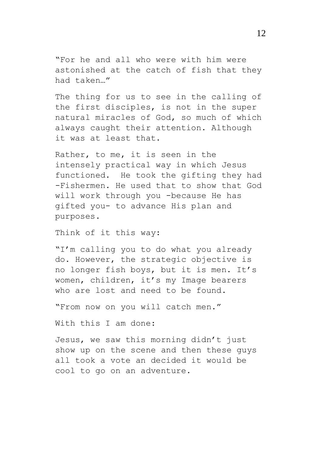"For he and all who were with him were astonished at the catch of fish that they had taken…"

The thing for us to see in the calling of the first disciples, is not in the super natural miracles of God, so much of which always caught their attention. Although it was at least that.

Rather, to me, it is seen in the intensely practical way in which Jesus functioned. He took the gifting they had -Fishermen. He used that to show that God will work through you -because He has gifted you- to advance His plan and purposes.

Think of it this way:

"I'm calling you to do what you already do. However, the strategic objective is no longer fish boys, but it is men. It's women, children, it's my Image bearers who are lost and need to be found.

"From now on you will catch men."

With this I am done:

Jesus, we saw this morning didn't just show up on the scene and then these guys all took a vote an decided it would be cool to go on an adventure.